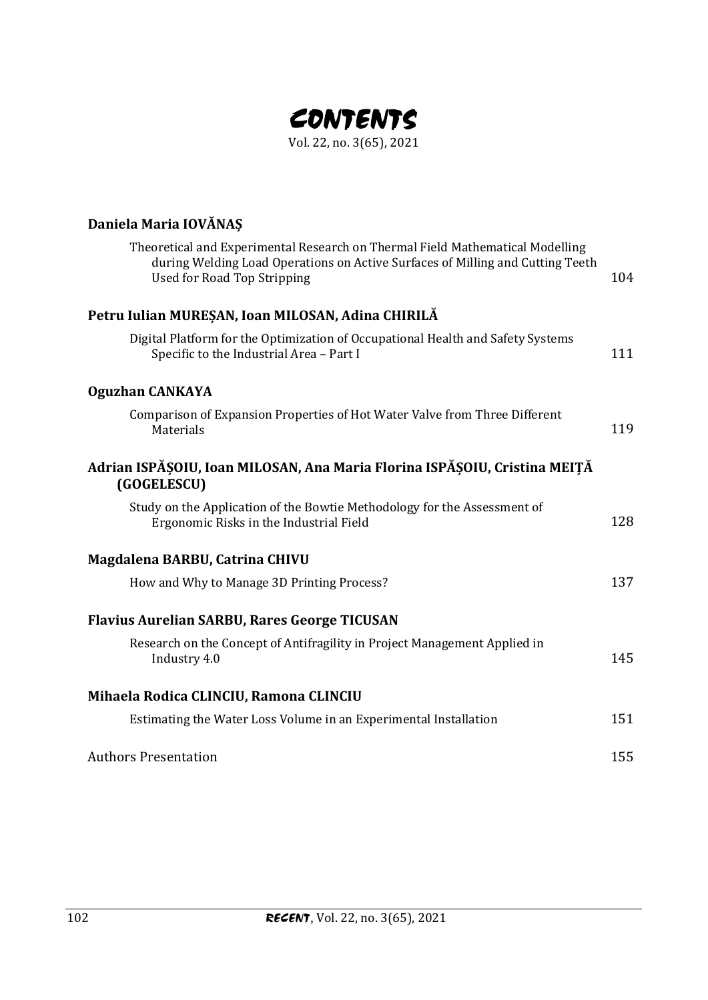

| Daniela Maria IOVĂNAȘ                                                                                                                                                                                 |     |
|-------------------------------------------------------------------------------------------------------------------------------------------------------------------------------------------------------|-----|
| Theoretical and Experimental Research on Thermal Field Mathematical Modelling<br>during Welding Load Operations on Active Surfaces of Milling and Cutting Teeth<br><b>Used for Road Top Stripping</b> | 104 |
| Petru Iulian MUREȘAN, Ioan MILOSAN, Adina CHIRILĂ                                                                                                                                                     |     |
| Digital Platform for the Optimization of Occupational Health and Safety Systems<br>Specific to the Industrial Area - Part I                                                                           | 111 |
| <b>Oguzhan CANKAYA</b>                                                                                                                                                                                |     |
| Comparison of Expansion Properties of Hot Water Valve from Three Different<br>Materials                                                                                                               | 119 |
| Adrian ISPĂȘOIU, Ioan MILOSAN, Ana Maria Florina ISPĂȘOIU, Cristina MEIȚĂ<br>(GOGELESCU)                                                                                                              |     |
| Study on the Application of the Bowtie Methodology for the Assessment of<br>Ergonomic Risks in the Industrial Field                                                                                   | 128 |
| Magdalena BARBU, Catrina CHIVU                                                                                                                                                                        |     |
| How and Why to Manage 3D Printing Process?                                                                                                                                                            | 137 |
| <b>Flavius Aurelian SARBU, Rares George TICUSAN</b>                                                                                                                                                   |     |
| Research on the Concept of Antifragility in Project Management Applied in<br>Industry 4.0                                                                                                             | 145 |
| Mihaela Rodica CLINCIU, Ramona CLINCIU                                                                                                                                                                |     |
| Estimating the Water Loss Volume in an Experimental Installation                                                                                                                                      | 151 |
| <b>Authors Presentation</b>                                                                                                                                                                           | 155 |